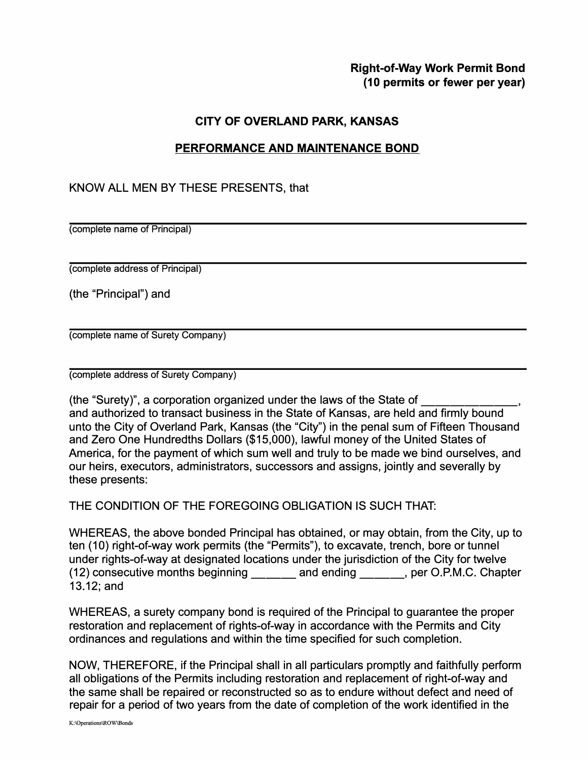## **Right-of-Way Work Permit Bond (1 O permits or fewer per year)**

## **CITY OF OVERLAND PARK, KANSAS**

## **PERFORMANCE AND MAINTENANCE BOND**

## KNOW ALL MEN BY THESE PRESENTS, that

(complete name of Principal)

(complete address of Principal)

(the "Principal") and

(complete name of Surety Company)

(complete address of Surety Company)

(the "Surety)", a corporation organized under the laws of the State of \_\_\_\_\_\_ \_ and authorized to transact business in the State of Kansas, are held and firmly bound unto the City of Overland Park, Kansas (the "City") in the penal sum of Fifteen Thousand and Zero One Hundredths Dollars (\$15,000), lawful money of the United States of America, for the payment of which sum well and truly to be made we bind ourselves, and our heirs, executors, administrators, successors and assigns, jointly and severally by these presents:

THE CONDITION OF THE FOREGOING OBLIGATION IS SUCH THAT:

WHEREAS, the above bonded Principal has obtained, or may obtain, from the City, up to ten (10) right-of-way work permits (the "Permits"), to excavate, trench, bore or tunnel under rights-of-way at designated locations under the jurisdiction of the City for twelve (12) consecutive months beginning and ending entity per O.P.M.C. Chapter 13.12; and

WHEREAS, a surety company bond is required of the Principal to guarantee the proper restoration and replacement of rights-of-way in accordance with the Permits and City ordinances and regulations and within the time specified for such completion.

NOW, THEREFORE, if the Principal shall in all particulars promptly and faithfully perform all obligations of the Permits including restoration and replacement of right-of-way and the same shall be repaired or reconstructed so as to endure without defect and need of repair for a period of two years from the date of completion of the work identified in the